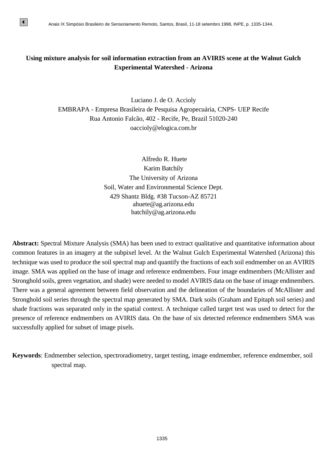# **Using mixture analysis for soil information extraction from an AVIRIS scene at the Walnut Gulch Experimental Watershed - Arizona**

Luciano J. de O. Accioly EMBRAPA - Empresa Brasileira de Pesquisa Agropecuária, CNPS- UEP Recife Rua Antonio Falcão, 402 - Recife, Pe, Brazil 51020-240 oaccioly@elogica.com.br

> Alfredo R. Huete Karim Batchily The University of Arizona Soil, Water and Environmental Science Dept. 429 Shantz Bldg. #38 Tucson-AZ 85721 ahuete@ag.arizona.edu batchily@ag.arizona.edu

**Abstract:** Spectral Mixture Analysis (SMA) has been used to extract qualitative and quantitative information about common features in an imagery at the subpixel level. At the Walnut Gulch Experimental Watershed (Arizona) this technique was used to produce the soil spectral map and quantify the fractions of each soil endmember on an AVIRIS image. SMA was applied on the base of image and reference endmembers. Four image endmembers (McAllister and Stronghold soils, green vegetation, and shade) were needed to model AVIRIS data on the base of image endmembers. There was a general agreement between field observation and the delineation of the boundaries of McAllister and Stronghold soil series through the spectral map generated by SMA. Dark soils (Graham and Epitaph soil series) and shade fractions was separated only in the spatial context. A technique called target test was used to detect for the presence of reference endmembers on AVIRIS data. On the base of six detected reference endmembers SMA was successfully applied for subset of image pixels.

**Keywords**: Endmember selection, spectroradiometry, target testing, image endmember, reference endmember, soil spectral map.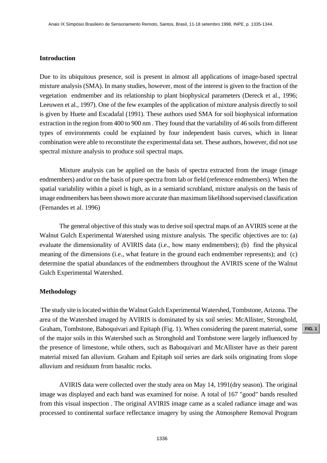# **Introduction**

Due to its ubiquitous presence, soil is present in almost all applications of image-based spectral mixture analysis (SMA). In many studies, however, most of the interest is given to the fraction of the vegetation endmember and its relationship to plant biophysical parameters (Dereck et al., 1996; Leeuwen et al., 1997). One of the few examples of the application of mixture analysis directly to soil is given by Huete and Escadafal (1991). These authors used SMA for soil biophysical information extraction in the region from 400 to 900 nm . They found that the variability of 46 soils from different types of environments could be explained by four independent basis curves, which in linear combination were able to reconstitute the experimental data set. These authors, however, did not use spectral mixture analysis to produce soil spectral maps. Assis IX Simposo Brasileiro de Sensoriamento Remoto, Santa, Brasil, 11-18 asiemnos 1998, INPE<sub>1</sub> p. 1335-1344.<br> **Froduction**<br> **Froduction**<br> **Froduction**<br> **Froduction**<br> **Froduction**<br> **Froduction**<br> **FRODA).** IID many studies

Mixture analysis can be applied on the basis of spectra extracted from the image (image endmembers) and/or on the basis of pure spectra from lab or field (reference endmembers). When the spatial variability within a pixel is high, as in a semiarid scrubland, mixture analysis on the basis of image endmembers has been shown more accurate than maximum likelihood supervised classification (Fernandes et al. 1996)

The general objective of this study was to derive soil spectral maps of an AVIRIS scene at the Walnut Gulch Experimental Watershed using mixture analysis. The specific objectives are to: (a) evaluate the dimensionality of AVIRIS data (i.e., how many endmembers); (b) find the physical meaning of the dimensions (i.e., what feature in the ground each endmember represents); and (c) determine the spatial abundances of the endmembers throughout the AVIRIS scene of the Walnut Gulch Experimental Watershed.

#### **Methodology**

 The study site is located within the Walnut Gulch Experimental Watershed, Tombstone, Arizona. The area of the Watershed imaged by AVIRIS is dominated by six soil series: McAllister, Stronghold, Graham, Tombstone, Baboquivari and Epitaph (Fig. 1). When considering the parent material, some of the major soils in this Watershed such as Stronghold and Tombstone were largely influenced by the presence of limestone, while others, such as Baboquivari and McAllister have as their parent material mixed fan alluvium. Graham and Epitaph soil series are dark soils originating from slope alluvium and residuum from basaltic rocks.

AVIRIS data were collected over the study area on May 14, 1991(dry season). The original image was displayed and each band was examined for noise. A total of 167 "good" bands resulted from this visual inspection . The original AVIRIS image came as a scaled radiance image and was processed to continental surface reflectance imagery by using the Atmosphere Removal Program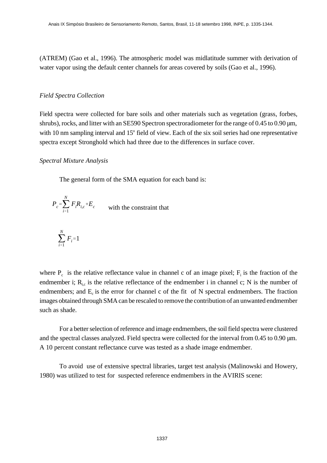(ATREM) (Gao et al., 1996). The atmospheric model was midlatitude summer with derivation of water vapor using the default center channels for areas covered by soils (Gao et al., 1996).

### *Field Spectra Collection*

Field spectra were collected for bare soils and other materials such as vegetation (grass, forbes, shrubs), rocks, and litter with an SE590 Spectron spectroradiometer for the range of 0.45 to 0.90  $\mu$ m, with 10 nm sampling interval and 15° field of view. Each of the six soil series had one representative spectra except Stronghold which had three due to the differences in surface cover.

# *Spectral Mixture Analysis*

The general form of the SMA equation for each band is:

$$
P_c = \sum_{i=1}^{N} F_i R_{i,c} + E_c
$$
 with the constraint that

$$
\sum_{i=1}^{N} F_i = 1
$$

where  $P_c$  is the relative reflectance value in channel c of an image pixel;  $F_i$  is the fraction of the endmember i;  $R_{i,c}$  is the relative reflectance of the endmember i in channel c; N is the number of endmembers; and  $E_c$  is the error for channel c of the fit of N spectral endmembers. The fraction images obtained through SMA can be rescaled to remove the contribution of an unwanted endmember such as shade.

For a better selection of reference and image endmembers, the soil field spectra were clustered and the spectral classes analyzed. Field spectra were collected for the interval from 0.45 to 0.90  $\mu$ m. A 10 percent constant reflectance curve was tested as a shade image endmember.

To avoid use of extensive spectral libraries, target test analysis (Malinowski and Howery, 1980) was utilized to test for suspected reference endmembers in the AVIRIS scene: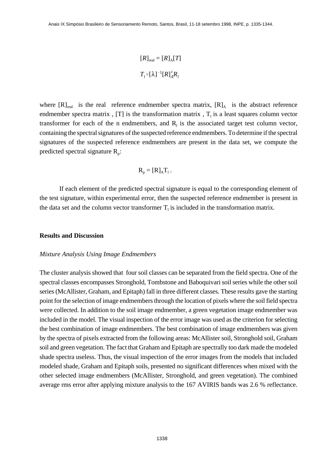$$
[R]_{\text{real}} = [R]_{\text{A}} [T]
$$

$$
T_{\text{I}} = [\lambda]^{-1} [R]_{\text{A}}^{\text{I}} R_{\text{I}}
$$

where  $[R]_{\text{real}}$  is the real reference endmember spectra matrix,  $[R]_A$  is the abstract reference endmember spectra matrix, [T] is the transformation matrix,  $T_1$  is a least squares column vector transformer for each of the n endmembers, and  $R<sub>1</sub>$  is the associated target test column vector, containing the spectral signatures of the suspected reference endmembers. To determine if the spectral signatures of the suspected reference endmembers are present in the data set, we compute the predicted spectral signature  $R_p$ :

$$
R_p = [R]_A T_1.
$$

If each element of the predicted spectral signature is equal to the corresponding element of the test signature, within experimental error, then the suspected reference endmember is present in the data set and the column vector transformer  $T_1$  is included in the transformation matrix.

#### **Results and Discussion**

#### *Mixture Analysis Using Image Endmembers*

The cluster analysis showed that four soil classes can be separated from the field spectra. One of the spectral classes encompasses Stronghold, Tombstone and Baboquivari soil series while the other soil series (McAllister, Graham, and Epitaph) fall in three different classes. These results gave the starting point for the selection of image endmembers through the location of pixels where the soil field spectra were collected. In addition to the soil image endmember, a green vegetation image endmember was included in the model. The visual inspection of the error image was used as the criterion for selecting the best combination of image endmembers. The best combination of image endmembers was given by the spectra of pixels extracted from the following areas: McAllister soil, Stronghold soil, Graham soil and green vegetation. The fact that Graham and Epitaph are spectrally too dark made the modeled shade spectra useless. Thus, the visual inspection of the error images from the models that included modeled shade, Graham and Epitaph soils, presented no significant differences when mixed with the other selected image endmembers (McAllister, Stronghold, and green vegetation). The combined average rms error after applying mixture analysis to the 167 AVIRIS bands was 2.6 % reflectance.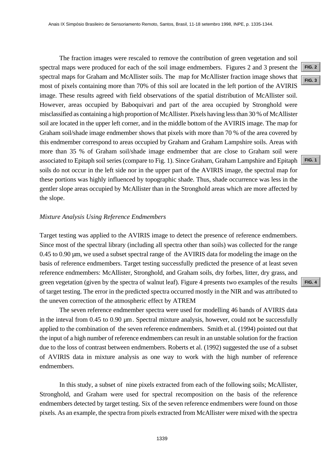The fraction images were rescaled to remove the contribution of green vegetation and soil spectral maps were produced for each of the soil image endmembers. Figures 2 and 3 present the spectral maps for Graham and McAllister soils. The map for McAllister fraction image shows that most of pixels containing more than 70% of this soil are located in the left portion of the AVIRIS image. These results agreed with field observations of the spatial distribution of McAllister soil. However, areas occupied by Baboquivari and part of the area occupied by Stronghold were misclassified as containing a high proportion of McAllister. Pixels having less than 30 % of McAllister soil are located in the upper left corner, and in the middle bottom of the AVIRIS image. The map for Graham soil/shade image endmember shows that pixels with more than 70 % of the area covered by this endmember correspond to areas occupied by Graham and Graham Lampshire soils. Areas with more than 35 % of Graham soil/shade image endmember that are close to Graham soil were associated to Epitaph soil series (compare to Fig. 1). Since Graham, Graham Lampshire and Epitaph soils do not occur in the left side nor in the upper part of the AVIRIS image, the spectral map for these portions was highly influenced by topographic shade. Thus, shade occurrence was less in the gentler slope areas occupied by McAllister than in the Stronghold areas which are more affected by the slope. Anas IX Simposio Brasileiro de Sensoriamenta Remota, Sanda, 14-18 setembro 1998, INPE, p. 1335-1344.<br> **The fraction images were rescaled to remote the contribution of green regetation and solid<br>
Terral many for Craham and** 

### *Mixture Analysis Using Reference Endmembers*

Target testing was applied to the AVIRIS image to detect the presence of reference endmembers. Since most of the spectral library (including all spectra other than soils) was collected for the range 0.45 to 0.90 µm, we used a subset spectral range of the AVIRIS data for modeling the image on the basis of reference endmembers. Target testing successfully predicted the presence of at least seven reference endmembers: McAllister, Stronghold, and Graham soils, dry forbes, litter, dry grass, and green vegetation (given by the spectra of walnut leaf). Figure 4 presents two examples of the results of target testing. The error in the predicted spectra occurred mostly in the NIR and was attributed to the uneven correction of the atmospheric effect by ATREM

The seven reference endmember spectra were used for modelling 46 bands of AVIRIS data in the inteval from 0.45 to 0.90  $\mu$ m. Spectral mixture analysis, however, could not be successfully applied to the combination of the seven reference endmembers. Smith et al. (1994) pointed out that the input of a high number of reference endmembers can result in an unstable solution for the fraction due to the loss of contrast between endmembers. Roberts et al. (1992) suggested the use of a subset of AVIRIS data in mixture analysis as one way to work with the high number of reference endmembers.

In this study, a subset of nine pixels extracted from each of the following soils; McAllister, Stronghold, and Graham were used for spectral recomposition on the basis of the reference endmembers detected by target testing. Six of the seven reference endmembers were found on those pixels. As an example, the spectra from pixels extracted from McAllister were mixed with the spectra

**[FIG. 1](#page-7-0)**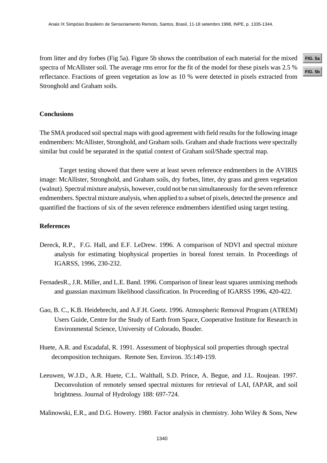from litter and dry forbes (Fig 5a). Figure 5b shows the contribution of each material for the mixed spectra of McAllister soil. The average rms error for the fit of the model for these pixels was 2.5 % reflectance. Fractions of green vegetation as low as 10 % were detected in pixels extracted from Stronghold and Graham soils. Anais IX Simpósio Brasileiro de Sensoriamento Remoto, Santos, Brasil, 11-18 setembro 1998, INPE, p. 1335-1344.<br>**h** Hitter and dry forbes (Fig 5a). Figure 5b shows the contribution of each material for the mixed **FIG. 5a**<br>c

# **Conclusions**

The SMA produced soil spectral maps with good agreement with field results for the following image endmembers: McAllister, Stronghold, and Graham soils. Graham and shade fractions were spectrally similar but could be separated in the spatial context of Graham soil/Shade spectral map.

Target testing showed that there were at least seven reference endmembers in the AVIRIS image: McAllister, Stronghold, and Graham soils, dry forbes, litter, dry grass and green vegetation (walnut). Spectral mixture analysis, however, could not be run simultaneously for the seven reference endmembers. Spectral mixture analysis, when applied to a subset of pixels, detected the presence and quantified the fractions of six of the seven reference endmembers identified using target testing.

# **References**

- Dereck, R.P., F.G. Hall, and E.F. LeDrew. 1996. A comparison of NDVI and spectral mixture analysis for estimating biophysical properties in boreal forest terrain. In Proceedings of IGARSS, 1996, 230-232.
- FernadesR., J.R. Miller, and L.E. Band. 1996. Comparison of linear least squares unmixing methods and guassian maximum likelihood classification. In Proceeding of IGARSS 1996, 420-422.
- Gao, B. C., K.B. Heidebrecht, and A.F.H. Goetz. 1996. Atmospheric Removal Program (ATREM) Users Guide, Centre for the Study of Earth from Space, Cooperative Institute for Research in Environmental Science, University of Colorado, Bouder.
- Huete, A.R. and Escadafal, R. 1991. Assessment of biophysical soil properties through spectral decomposition techniques. Remote Sen. Environ. 35:149-159.
- Leeuwen, W.J.D., A.R. Huete, C.L. Walthall, S.D. Prince, A. Begue, and J.L. Roujean. 1997. Deconvolution of remotely sensed spectral mixtures for retrieval of LAI, fAPAR, and soil brightness. Journal of Hydrology 188: 697-724.

Malinowski, E.R., and D.G. Howery. 1980. Factor analysis in chemistry. John Wiley & Sons, New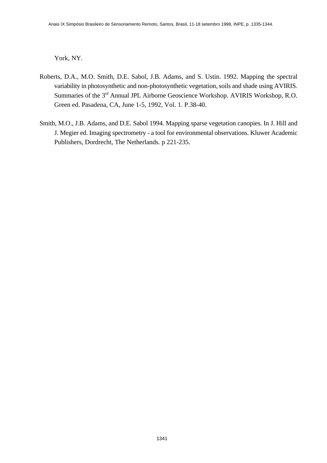York, NY.

- Roberts, D.A., M.O. Smith, D.E. Sabol, J.B. Adams, and S. Ustin. 1992. Mapping the spectral variability in photosynthetic and non-photosynthetic vegetation, soils and shade using AVIRIS. Summaries of the 3rd Annual JPL Airborne Geoscience Workshop. AVIRIS Workshop, R.O. Green ed. Pasadena, CA, June 1-5, 1992, Vol. 1. P.38-40.
- Smith, M.O., J.B. Adams, and D.E. Sabol 1994. Mapping sparse vegetation canopies. In J. Hill and J. Megier ed. Imaging spectrometry - a tool for environmental observations. Kluwer Academic Publishers, Dordrecht, The Netherlands. p 221-235.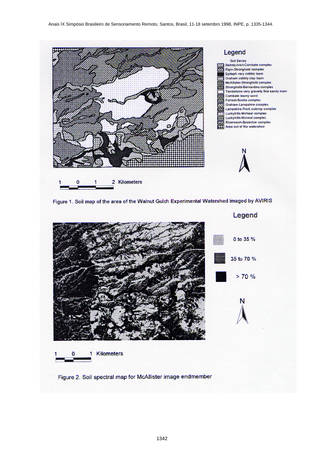



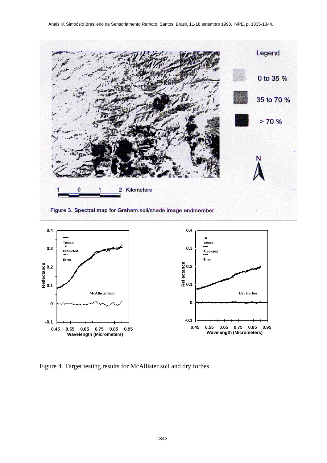<span id="page-8-0"></span>

Figure 4. Target testing results for McAllister soil and dry forbes